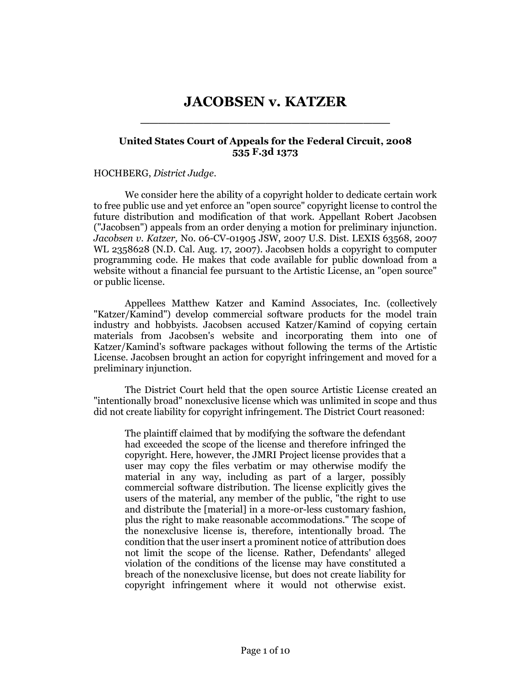# **JACOBSEN v. KATZER** \_\_\_\_\_\_\_\_\_\_\_\_\_\_\_\_\_\_\_\_\_\_\_\_\_\_\_\_

# **United States Court of Appeals for the Federal Circuit, 2008 535 F.3d 1373**

## HOCHBERG, *District Judge*.

We consider here the ability of a copyright holder to dedicate certain work to free public use and yet enforce an "open source" copyright license to control the future distribution and modification of that work. Appellant Robert Jacobsen ("Jacobsen") appeals from an order denying a motion for preliminary injunction. *Jacobsen v. Katzer,* No. 06-CV-01905 JSW, 2007 U.S. Dist. LEXIS 63568, 2007 WL 2358628 (N.D. Cal. Aug. 17, 2007). Jacobsen holds a copyright to computer programming code. He makes that code available for public download from a website without a financial fee pursuant to the Artistic License, an "open source" or public license.

Appellees Matthew Katzer and Kamind Associates, Inc. (collectively "Katzer/Kamind") develop commercial software products for the model train industry and hobbyists. Jacobsen accused Katzer/Kamind of copying certain materials from Jacobsen's website and incorporating them into one of Katzer/Kamind's software packages without following the terms of the Artistic License. Jacobsen brought an action for copyright infringement and moved for a preliminary injunction.

The District Court held that the open source Artistic License created an "intentionally broad" nonexclusive license which was unlimited in scope and thus did not create liability for copyright infringement. The District Court reasoned:

The plaintiff claimed that by modifying the software the defendant had exceeded the scope of the license and therefore infringed the copyright. Here, however, the JMRI Project license provides that a user may copy the files verbatim or may otherwise modify the material in any way, including as part of a larger, possibly commercial software distribution. The license explicitly gives the users of the material, any member of the public, "the right to use and distribute the [material] in a more-or-less customary fashion, plus the right to make reasonable accommodations." The scope of the nonexclusive license is, therefore, intentionally broad. The condition that the user insert a prominent notice of attribution does not limit the scope of the license. Rather, Defendants' alleged violation of the conditions of the license may have constituted a breach of the nonexclusive license, but does not create liability for copyright infringement where it would not otherwise exist.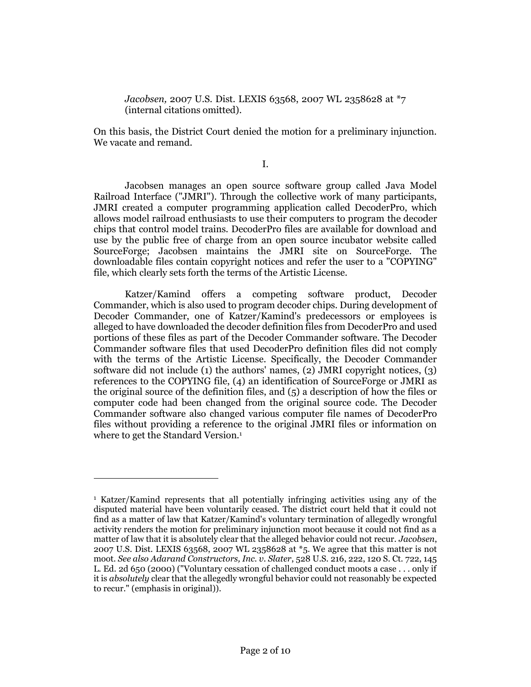*Jacobsen,* 2007 U.S. Dist. LEXIS 63568, 2007 WL 2358628 at \*7 (internal citations omitted).

On this basis, the District Court denied the motion for a preliminary injunction. We vacate and remand.

I.

Jacobsen manages an open source software group called Java Model Railroad Interface ("JMRI"). Through the collective work of many participants, JMRI created a computer programming application called DecoderPro, which allows model railroad enthusiasts to use their computers to program the decoder chips that control model trains. DecoderPro files are available for download and use by the public free of charge from an open source incubator website called SourceForge; Jacobsen maintains the JMRI site on SourceForge. The downloadable files contain copyright notices and refer the user to a "COPYING" file, which clearly sets forth the terms of the Artistic License.

Katzer/Kamind offers a competing software product, Decoder Commander, which is also used to program decoder chips. During development of Decoder Commander, one of Katzer/Kamind's predecessors or employees is alleged to have downloaded the decoder definition files from DecoderPro and used portions of these files as part of the Decoder Commander software. The Decoder Commander software files that used DecoderPro definition files did not comply with the terms of the Artistic License. Specifically, the Decoder Commander software did not include (1) the authors' names, (2) JMRI copyright notices, (3) references to the COPYING file, (4) an identification of SourceForge or JMRI as the original source of the definition files, and (5) a description of how the files or computer code had been changed from the original source code. The Decoder Commander software also changed various computer file names of DecoderPro files without providing a reference to the original JMRI files or information on where to get the Standard Version.<sup>1</sup>

<sup>1</sup> Katzer/Kamind represents that all potentially infringing activities using any of the disputed material have been voluntarily ceased. The district court held that it could not find as a matter of law that Katzer/Kamind's voluntary termination of allegedly wrongful activity renders the motion for preliminary injunction moot because it could not find as a matter of law that it is absolutely clear that the alleged behavior could not recur. *Jacobsen*, 2007 U.S. Dist. LEXIS 63568, 2007 WL 2358628 at \*5. We agree that this matter is not moot. *See also Adarand Constructors, Inc. v. Slater*, 528 U.S. 216, 222, 120 S. Ct. 722, 145 L. Ed. 2d 650 (2000) ("Voluntary cessation of challenged conduct moots a case . . . only if it is *absolutely* clear that the allegedly wrongful behavior could not reasonably be expected to recur." (emphasis in original)).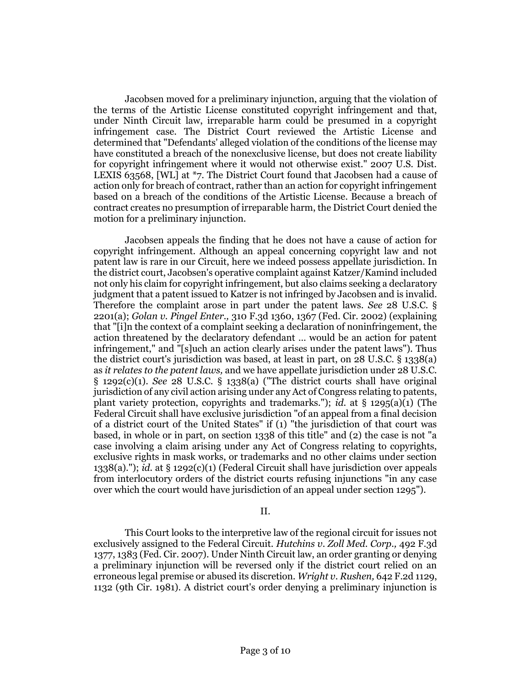Jacobsen moved for a preliminary injunction, arguing that the violation of the terms of the Artistic License constituted copyright infringement and that, under Ninth Circuit law, irreparable harm could be presumed in a copyright infringement case. The District Court reviewed the Artistic License and determined that "Defendants' alleged violation of the conditions of the license may have constituted a breach of the nonexclusive license, but does not create liability for copyright infringement where it would not otherwise exist." 2007 U.S. Dist. LEXIS 63568, [WL] at \*7. The District Court found that Jacobsen had a cause of action only for breach of contract, rather than an action for copyright infringement based on a breach of the conditions of the Artistic License. Because a breach of contract creates no presumption of irreparable harm, the District Court denied the motion for a preliminary injunction.

Jacobsen appeals the finding that he does not have a cause of action for copyright infringement. Although an appeal concerning copyright law and not patent law is rare in our Circuit, here we indeed possess appellate jurisdiction. In the district court, Jacobsen's operative complaint against Katzer/Kamind included not only his claim for copyright infringement, but also claims seeking a declaratory judgment that a patent issued to Katzer is not infringed by Jacobsen and is invalid. Therefore the complaint arose in part under the patent laws. *See* 28 U.S.C. § 2201(a); *Golan v. Pingel Enter.,* 310 F.3d 1360, 1367 (Fed. Cir. 2002) (explaining that "[i]n the context of a complaint seeking a declaration of noninfringement, the action threatened by the declaratory defendant … would be an action for patent infringement," and "[s]uch an action clearly arises under the patent laws"). Thus the district court's jurisdiction was based, at least in part, on 28 U.S.C. § 1338(a) as *it relates to the patent laws,* and we have appellate jurisdiction under 28 U.S.C. § 1292(c)(1). *See* 28 U.S.C. § 1338(a) ("The district courts shall have original jurisdiction of any civil action arising under any Act of Congress relating to patents, plant variety protection, copyrights and trademarks.");  $id.$  at § 1295(a)(1) (The Federal Circuit shall have exclusive jurisdiction "of an appeal from a final decision of a district court of the United States" if (1) "the jurisdiction of that court was based, in whole or in part, on section 1338 of this title" and (2) the case is not "a case involving a claim arising under any Act of Congress relating to copyrights, exclusive rights in mask works, or trademarks and no other claims under section 1338(a)."); *id.* at § 1292(c)(1) (Federal Circuit shall have jurisdiction over appeals from interlocutory orders of the district courts refusing injunctions "in any case over which the court would have jurisdiction of an appeal under section 1295").

#### II.

This Court looks to the interpretive law of the regional circuit for issues not exclusively assigned to the Federal Circuit. *Hutchins v. Zoll Med. Corp.,* 492 F.3d 1377, 1383 (Fed. Cir. 2007). Under Ninth Circuit law, an order granting or denying a preliminary injunction will be reversed only if the district court relied on an erroneous legal premise or abused its discretion. *Wright v. Rushen,* 642 F.2d 1129, 1132 (9th Cir. 1981). A district court's order denying a preliminary injunction is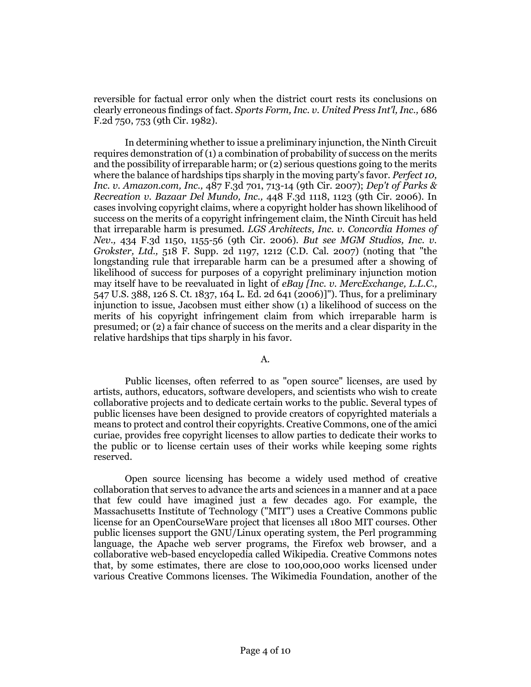reversible for factual error only when the district court rests its conclusions on clearly erroneous findings of fact. *Sports Form, Inc. v. United Press Int'l, Inc.,* 686 F.2d 750, 753 (9th Cir. 1982).

In determining whether to issue a preliminary injunction, the Ninth Circuit requires demonstration of (1) a combination of probability of success on the merits and the possibility of irreparable harm; or (2) serious questions going to the merits where the balance of hardships tips sharply in the moving party's favor. *Perfect 10, Inc. v. Amazon.com, Inc.,* 487 F.3d 701, 713-14 (9th Cir. 2007); *Dep't of Parks & Recreation v. Bazaar Del Mundo, Inc.,* 448 F.3d 1118, 1123 (9th Cir. 2006). In cases involving copyright claims, where a copyright holder has shown likelihood of success on the merits of a copyright infringement claim, the Ninth Circuit has held that irreparable harm is presumed. *LGS Architects, Inc. v. Concordia Homes of Nev.,* 434 F.3d 1150, 1155-56 (9th Cir. 2006). *But see MGM Studios, Inc. v. Grokster, Ltd.,* 518 F. Supp. 2d 1197, 1212 (C.D. Cal. 2007) (noting that "the longstanding rule that irreparable harm can be a presumed after a showing of likelihood of success for purposes of a copyright preliminary injunction motion may itself have to be reevaluated in light of *eBay [Inc. v. MercExchange, L.L.C.,* 547 U.S. 388, 126 S. Ct. 1837, 164 L. Ed. 2d 641 (2006)]"). Thus, for a preliminary injunction to issue, Jacobsen must either show (1) a likelihood of success on the merits of his copyright infringement claim from which irreparable harm is presumed; or (2) a fair chance of success on the merits and a clear disparity in the relative hardships that tips sharply in his favor.

#### A.

Public licenses, often referred to as "open source" licenses, are used by artists, authors, educators, software developers, and scientists who wish to create collaborative projects and to dedicate certain works to the public. Several types of public licenses have been designed to provide creators of copyrighted materials a means to protect and control their copyrights. Creative Commons, one of the amici curiae, provides free copyright licenses to allow parties to dedicate their works to the public or to license certain uses of their works while keeping some rights reserved.

Open source licensing has become a widely used method of creative collaboration that serves to advance the arts and sciences in a manner and at a pace that few could have imagined just a few decades ago. For example, the Massachusetts Institute of Technology ("MIT") uses a Creative Commons public license for an OpenCourseWare project that licenses all 1800 MIT courses. Other public licenses support the GNU/Linux operating system, the Perl programming language, the Apache web server programs, the Firefox web browser, and a collaborative web-based encyclopedia called Wikipedia. Creative Commons notes that, by some estimates, there are close to 100,000,000 works licensed under various Creative Commons licenses. The Wikimedia Foundation, another of the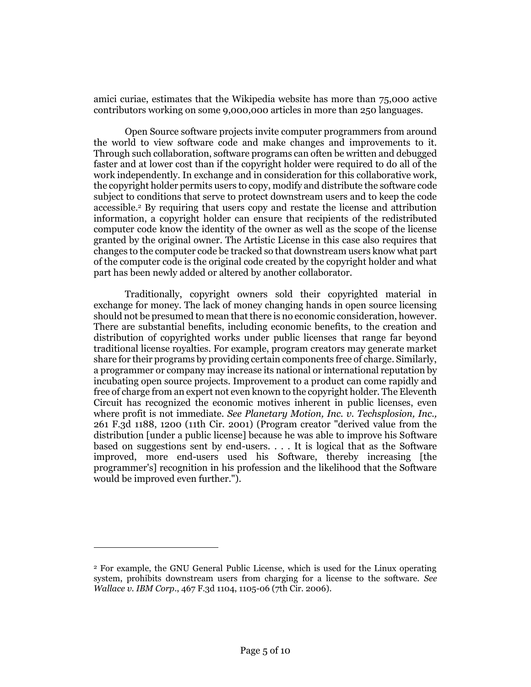amici curiae, estimates that the Wikipedia website has more than 75,000 active contributors working on some 9,000,000 articles in more than 250 languages.

Open Source software projects invite computer programmers from around the world to view software code and make changes and improvements to it. Through such collaboration, software programs can often be written and debugged faster and at lower cost than if the copyright holder were required to do all of the work independently. In exchange and in consideration for this collaborative work, the copyright holder permits users to copy, modify and distribute the software code subject to conditions that serve to protect downstream users and to keep the code accessible.<sup>2</sup> By requiring that users copy and restate the license and attribution information, a copyright holder can ensure that recipients of the redistributed computer code know the identity of the owner as well as the scope of the license granted by the original owner. The Artistic License in this case also requires that changes to the computer code be tracked so that downstream users know what part of the computer code is the original code created by the copyright holder and what part has been newly added or altered by another collaborator.

Traditionally, copyright owners sold their copyrighted material in exchange for money. The lack of money changing hands in open source licensing should not be presumed to mean that there is no economic consideration, however. There are substantial benefits, including economic benefits, to the creation and distribution of copyrighted works under public licenses that range far beyond traditional license royalties. For example, program creators may generate market share for their programs by providing certain components free of charge. Similarly, a programmer or company may increase its national or international reputation by incubating open source projects. Improvement to a product can come rapidly and free of charge from an expert not even known to the copyright holder. The Eleventh Circuit has recognized the economic motives inherent in public licenses, even where profit is not immediate. *See Planetary Motion, Inc. v. Techsplosion, Inc.,* 261 F.3d 1188, 1200 (11th Cir. 2001) (Program creator "derived value from the distribution [under a public license] because he was able to improve his Software based on suggestions sent by end-users. . . . It is logical that as the Software improved, more end-users used his Software, thereby increasing [the programmer's] recognition in his profession and the likelihood that the Software would be improved even further.").

<sup>2</sup> For example, the GNU General Public License, which is used for the Linux operating system, prohibits downstream users from charging for a license to the software. *See Wallace v. IBM Corp.*, 467 F.3d 1104, 1105-06 (7th Cir. 2006).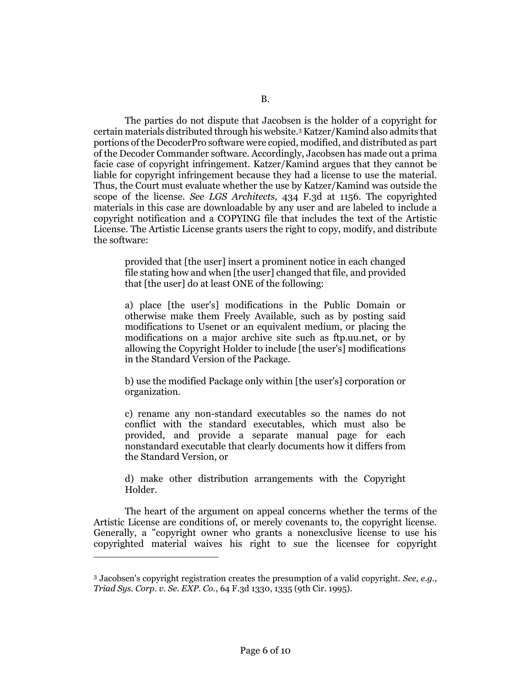The parties do not dispute that Jacobsen is the holder of a copyright for certain materials distributed through his website.<sup>3</sup> Katzer/Kamind also admits that portions of the DecoderPro software were copied, modified, and distributed as part of the Decoder Commander software. Accordingly, Jacobsen has made out a prima facie case of copyright infringement. Katzer/Kamind argues that they cannot be liable for copyright infringement because they had a license to use the material. Thus, the Court must evaluate whether the use by Katzer/Kamind was outside the scope of the license. *See LGS Architects,* 434 F.3d at 1156. The copyrighted materials in this case are downloadable by any user and are labeled to include a copyright notification and a COPYING file that includes the text of the Artistic License. The Artistic License grants users the right to copy, modify, and distribute the software:

provided that [the user] insert a prominent notice in each changed file stating how and when [the user] changed that file, and provided that [the user] do at least ONE of the following:

a) place [the user's] modifications in the Public Domain or otherwise make them Freely Available, such as by posting said modifications to Usenet or an equivalent medium, or placing the modifications on a major archive site such as ftp.uu.net, or by allowing the Copyright Holder to include [the user's] modifications in the Standard Version of the Package.

b) use the modified Package only within [the user's] corporation or organization.

c) rename any non-standard executables so the names do not conflict with the standard executables, which must also be provided, and provide a separate manual page for each nonstandard executable that clearly documents how it differs from the Standard Version, or

d) make other distribution arrangements with the Copyright Holder.

The heart of the argument on appeal concerns whether the terms of the Artistic License are conditions of, or merely covenants to, the copyright license. Generally, a "copyright owner who grants a nonexclusive license to use his copyrighted material waives his right to sue the licensee for copyright

<sup>3</sup> Jacobsen's copyright registration creates the presumption of a valid copyright. *See, e.g.*, *Triad Sys. Corp. v. Se. EXP. Co.*, 64 F.3d 1330, 1335 (9th Cir. 1995).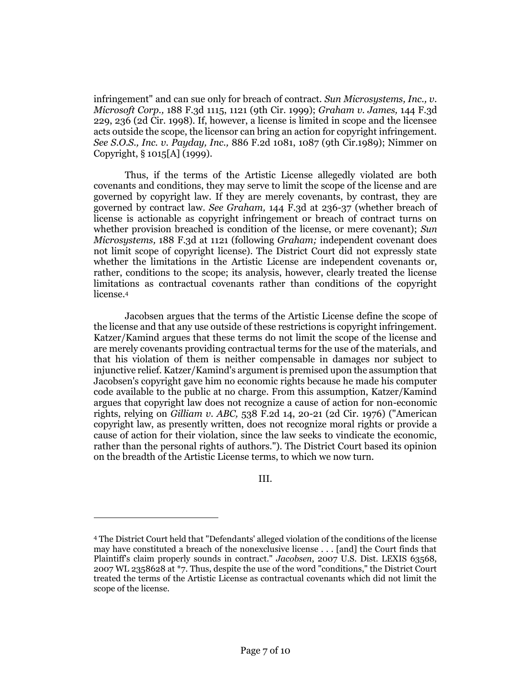infringement" and can sue only for breach of contract. *Sun Microsystems, Inc., v. Microsoft Corp.,* 188 F.3d 1115, 1121 (9th Cir. 1999); *Graham v. James,* 144 F.3d 229, 236 (2d Cir. 1998). If, however, a license is limited in scope and the licensee acts outside the scope, the licensor can bring an action for copyright infringement. *See S.O.S., Inc. v. Payday, Inc.,* 886 F.2d 1081, 1087 (9th Cir.1989); Nimmer on Copyright, § 1015[A] (1999).

Thus, if the terms of the Artistic License allegedly violated are both covenants and conditions, they may serve to limit the scope of the license and are governed by copyright law. If they are merely covenants, by contrast, they are governed by contract law. *See Graham,* 144 F.3d at 236-37 (whether breach of license is actionable as copyright infringement or breach of contract turns on whether provision breached is condition of the license, or mere covenant); *Sun Microsystems,* 188 F.3d at 1121 (following *Graham;* independent covenant does not limit scope of copyright license). The District Court did not expressly state whether the limitations in the Artistic License are independent covenants or, rather, conditions to the scope; its analysis, however, clearly treated the license limitations as contractual covenants rather than conditions of the copyright license.<sup>4</sup>

Jacobsen argues that the terms of the Artistic License define the scope of the license and that any use outside of these restrictions is copyright infringement. Katzer/Kamind argues that these terms do not limit the scope of the license and are merely covenants providing contractual terms for the use of the materials, and that his violation of them is neither compensable in damages nor subject to injunctive relief. Katzer/Kamind's argument is premised upon the assumption that Jacobsen's copyright gave him no economic rights because he made his computer code available to the public at no charge. From this assumption, Katzer/Kamind argues that copyright law does not recognize a cause of action for non-economic rights, relying on *Gilliam v. ABC,* 538 F.2d 14, 20-21 (2d Cir. 1976) ("American copyright law, as presently written, does not recognize moral rights or provide a cause of action for their violation, since the law seeks to vindicate the economic, rather than the personal rights of authors."). The District Court based its opinion on the breadth of the Artistic License terms, to which we now turn.

III.

<sup>4</sup> The District Court held that "Defendants' alleged violation of the conditions of the license may have constituted a breach of the nonexclusive license . . . [and] the Court finds that Plaintiff's claim properly sounds in contract." *Jacobsen*, 2007 U.S. Dist. LEXIS 63568, 2007 WL 2358628 at \*7. Thus, despite the use of the word "conditions," the District Court treated the terms of the Artistic License as contractual covenants which did not limit the scope of the license.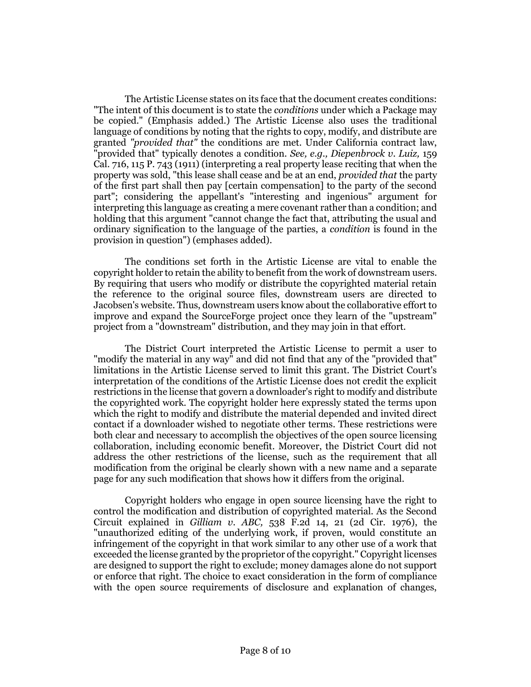The Artistic License states on its face that the document creates conditions: "The intent of this document is to state the *conditions* under which a Package may be copied." (Emphasis added.) The Artistic License also uses the traditional language of conditions by noting that the rights to copy, modify, and distribute are granted *"provided that"* the conditions are met. Under California contract law, "provided that" typically denotes a condition. *See, e.g., Diepenbrock v. Luiz,* 159 Cal. 716, 115 P. 743 (1911) (interpreting a real property lease reciting that when the property was sold, "this lease shall cease and be at an end, *provided that* the party of the first part shall then pay [certain compensation] to the party of the second part"; considering the appellant's "interesting and ingenious" argument for interpreting this language as creating a mere covenant rather than a condition; and holding that this argument "cannot change the fact that, attributing the usual and ordinary signification to the language of the parties, a *condition* is found in the provision in question") (emphases added).

The conditions set forth in the Artistic License are vital to enable the copyright holder to retain the ability to benefit from the work of downstream users. By requiring that users who modify or distribute the copyrighted material retain the reference to the original source files, downstream users are directed to Jacobsen's website. Thus, downstream users know about the collaborative effort to improve and expand the SourceForge project once they learn of the "upstream" project from a "downstream" distribution, and they may join in that effort.

The District Court interpreted the Artistic License to permit a user to "modify the material in any way" and did not find that any of the "provided that" limitations in the Artistic License served to limit this grant. The District Court's interpretation of the conditions of the Artistic License does not credit the explicit restrictions in the license that govern a downloader's right to modify and distribute the copyrighted work. The copyright holder here expressly stated the terms upon which the right to modify and distribute the material depended and invited direct contact if a downloader wished to negotiate other terms. These restrictions were both clear and necessary to accomplish the objectives of the open source licensing collaboration, including economic benefit. Moreover, the District Court did not address the other restrictions of the license, such as the requirement that all modification from the original be clearly shown with a new name and a separate page for any such modification that shows how it differs from the original.

Copyright holders who engage in open source licensing have the right to control the modification and distribution of copyrighted material. As the Second Circuit explained in *Gilliam v. ABC,* 538 F.2d 14, 21 (2d Cir. 1976), the "unauthorized editing of the underlying work, if proven, would constitute an infringement of the copyright in that work similar to any other use of a work that exceeded the license granted by the proprietor of the copyright." Copyright licenses are designed to support the right to exclude; money damages alone do not support or enforce that right. The choice to exact consideration in the form of compliance with the open source requirements of disclosure and explanation of changes,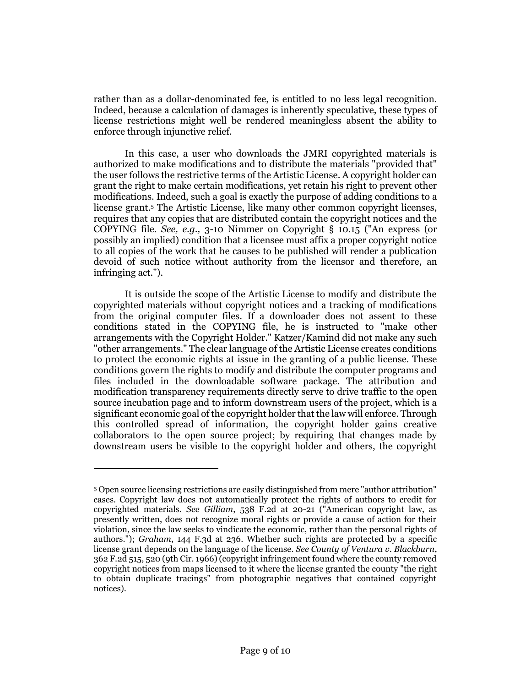rather than as a dollar-denominated fee, is entitled to no less legal recognition. Indeed, because a calculation of damages is inherently speculative, these types of license restrictions might well be rendered meaningless absent the ability to enforce through injunctive relief.

In this case, a user who downloads the JMRI copyrighted materials is authorized to make modifications and to distribute the materials "provided that" the user follows the restrictive terms of the Artistic License. A copyright holder can grant the right to make certain modifications, yet retain his right to prevent other modifications. Indeed, such a goal is exactly the purpose of adding conditions to a license grant.<sup>5</sup> The Artistic License, like many other common copyright licenses, requires that any copies that are distributed contain the copyright notices and the COPYING file. *See, e.g.,* 3-10 Nimmer on Copyright § 10.15 ("An express (or possibly an implied) condition that a licensee must affix a proper copyright notice to all copies of the work that he causes to be published will render a publication devoid of such notice without authority from the licensor and therefore, an infringing act.").

It is outside the scope of the Artistic License to modify and distribute the copyrighted materials without copyright notices and a tracking of modifications from the original computer files. If a downloader does not assent to these conditions stated in the COPYING file, he is instructed to "make other arrangements with the Copyright Holder." Katzer/Kamind did not make any such "other arrangements." The clear language of the Artistic License creates conditions to protect the economic rights at issue in the granting of a public license. These conditions govern the rights to modify and distribute the computer programs and files included in the downloadable software package. The attribution and modification transparency requirements directly serve to drive traffic to the open source incubation page and to inform downstream users of the project, which is a significant economic goal of the copyright holder that the law will enforce. Through this controlled spread of information, the copyright holder gains creative collaborators to the open source project; by requiring that changes made by downstream users be visible to the copyright holder and others, the copyright

<sup>5</sup> Open source licensing restrictions are easily distinguished from mere "author attribution" cases. Copyright law does not automatically protect the rights of authors to credit for copyrighted materials. *See Gilliam*, 538 F.2d at 20-21 ("American copyright law, as presently written, does not recognize moral rights or provide a cause of action for their violation, since the law seeks to vindicate the economic, rather than the personal rights of authors."); *Graham*, 144 F.3d at 236. Whether such rights are protected by a specific license grant depends on the language of the license. *See County of Ventura v. Blackburn*, 362 F.2d 515, 520 (9th Cir. 1966) (copyright infringement found where the county removed copyright notices from maps licensed to it where the license granted the county "the right to obtain duplicate tracings" from photographic negatives that contained copyright notices).